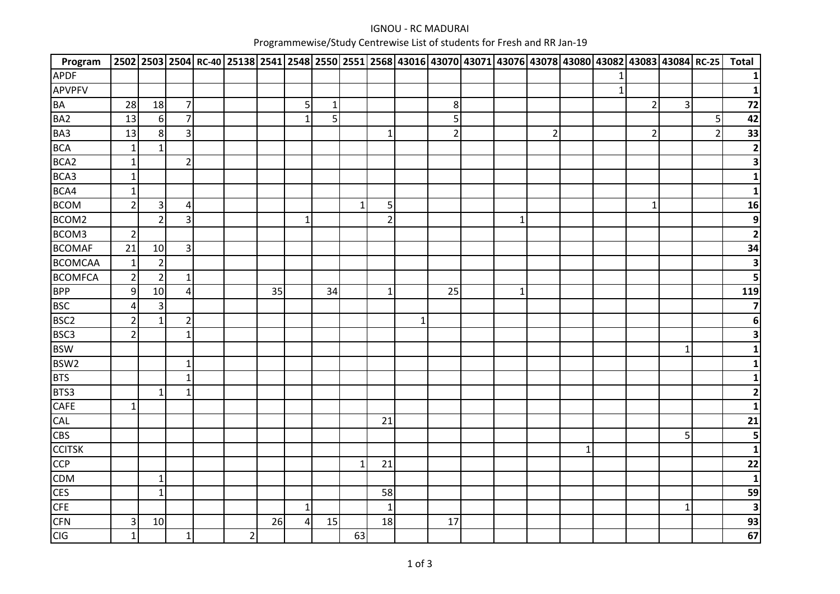## IGNOU - RC MADURAIProgrammewise/Study Centrewise List of students for Fresh and RR Jan-19

| Program          |                |                |                |          |    |              |                |              |                |              | 2502 2503 2504 RC-40 25138 2541 2548 2550 2551 2568 43016 43070 43071 43076 43078 43080 43082 43083 43084 RC-25 |              |                |             |   |                |                |                | <b>Total</b>            |
|------------------|----------------|----------------|----------------|----------|----|--------------|----------------|--------------|----------------|--------------|-----------------------------------------------------------------------------------------------------------------|--------------|----------------|-------------|---|----------------|----------------|----------------|-------------------------|
| <b>APDF</b>      |                |                |                |          |    |              |                |              |                |              |                                                                                                                 |              |                |             |   |                |                |                | 1                       |
| <b>APVPFV</b>    |                |                |                |          |    |              |                |              |                |              |                                                                                                                 |              |                |             | 1 |                |                |                | $\mathbf{1}$            |
| <b>BA</b>        | 28             | 18             | $\overline{7}$ |          |    | 5            | $\mathbf{1}$   |              |                |              | 8                                                                                                               |              |                |             |   | $\overline{2}$ | $\overline{3}$ |                | 72                      |
| BA <sub>2</sub>  | 13             | $6 \mid$       | $\overline{7}$ |          |    | $\mathbf{1}$ | 5 <sup>1</sup> |              |                |              | 5                                                                                                               |              |                |             |   |                |                | 5              | 42                      |
| BA3              | 13             | 8 <sup>1</sup> | 3              |          |    |              |                |              | $\mathbf{1}$   |              | $\overline{2}$                                                                                                  |              | $\overline{2}$ |             |   | $\overline{2}$ |                | $\overline{2}$ | 33                      |
| <b>BCA</b>       | $\mathbf{1}$   | $\mathbf{1}$   |                |          |    |              |                |              |                |              |                                                                                                                 |              |                |             |   |                |                |                | $\mathbf{2}$            |
| BCA <sub>2</sub> | $\mathbf{1}$   |                | $\overline{2}$ |          |    |              |                |              |                |              |                                                                                                                 |              |                |             |   |                |                |                | $\overline{\mathbf{3}}$ |
| BCA3             | $\mathbf{1}$   |                |                |          |    |              |                |              |                |              |                                                                                                                 |              |                |             |   |                |                |                | $\mathbf{1}$            |
| BCA4             | $\mathbf{1}$   |                |                |          |    |              |                |              |                |              |                                                                                                                 |              |                |             |   |                |                |                | $\mathbf{1}$            |
| <b>BCOM</b>      | $\overline{2}$ | $\mathbf{3}$   | 4              |          |    |              |                | $\mathbf{1}$ | 5              |              |                                                                                                                 |              |                |             |   | $\mathbf 1$    |                |                | 16                      |
| BCOM2            |                | $\overline{2}$ | 3              |          |    | 1            |                |              | $\overline{2}$ |              |                                                                                                                 | $\mathbf{1}$ |                |             |   |                |                |                | $\boldsymbol{9}$        |
| BCOM3            | $\overline{2}$ |                |                |          |    |              |                |              |                |              |                                                                                                                 |              |                |             |   |                |                |                | $\overline{\mathbf{2}}$ |
| <b>BCOMAF</b>    | 21             | 10             | $\overline{3}$ |          |    |              |                |              |                |              |                                                                                                                 |              |                |             |   |                |                |                | 34                      |
| <b>BCOMCAA</b>   | $\mathbf{1}$   | $\overline{2}$ |                |          |    |              |                |              |                |              |                                                                                                                 |              |                |             |   |                |                |                | $\overline{\mathbf{3}}$ |
| <b>BCOMFCA</b>   | $\overline{2}$ | $\overline{2}$ | $\mathbf{1}$   |          |    |              |                |              |                |              |                                                                                                                 |              |                |             |   |                |                |                | 5                       |
| <b>BPP</b>       | 9              | 10             | 4              |          | 35 |              | 34             |              | $\mathbf{1}$   |              | 25                                                                                                              | $\mathbf{1}$ |                |             |   |                |                |                | 119                     |
| <b>BSC</b>       | 4              | $\mathsf 3$    |                |          |    |              |                |              |                |              |                                                                                                                 |              |                |             |   |                |                |                | $\overline{\mathbf{z}}$ |
| BSC <sub>2</sub> | $\overline{2}$ | $\mathbf{1}$   | $\mathbf 2$    |          |    |              |                |              |                | $\mathbf{1}$ |                                                                                                                 |              |                |             |   |                |                |                | $\boldsymbol{6}$        |
| BSC <sub>3</sub> | $\overline{2}$ |                | $\mathbf{1}$   |          |    |              |                |              |                |              |                                                                                                                 |              |                |             |   |                |                |                | 3                       |
| <b>BSW</b>       |                |                |                |          |    |              |                |              |                |              |                                                                                                                 |              |                |             |   |                | $\mathbf{1}$   |                |                         |
| BSW2             |                |                | $\mathbf 1$    |          |    |              |                |              |                |              |                                                                                                                 |              |                |             |   |                |                |                |                         |
| <b>BTS</b>       |                |                | $\mathbf 1$    |          |    |              |                |              |                |              |                                                                                                                 |              |                |             |   |                |                |                | 1                       |
| BTS3             |                | $\mathbf{1}$   | $\mathbf 1$    |          |    |              |                |              |                |              |                                                                                                                 |              |                |             |   |                |                |                | $\mathbf{2}$            |
| <b>CAFE</b>      | $\mathbf{1}$   |                |                |          |    |              |                |              |                |              |                                                                                                                 |              |                |             |   |                |                |                | $\mathbf{1}$            |
| <b>CAL</b>       |                |                |                |          |    |              |                |              | 21             |              |                                                                                                                 |              |                |             |   |                |                |                | 21                      |
| <b>CBS</b>       |                |                |                |          |    |              |                |              |                |              |                                                                                                                 |              |                |             |   |                | 5              |                | 5                       |
| <b>CCITSK</b>    |                |                |                |          |    |              |                |              |                |              |                                                                                                                 |              |                | $\mathbf 1$ |   |                |                |                | 1                       |
| <b>CCP</b>       |                |                |                |          |    |              |                | $1\vert$     | 21             |              |                                                                                                                 |              |                |             |   |                |                |                | 22                      |
| <b>CDM</b>       |                | $\mathbf{1}$   |                |          |    |              |                |              |                |              |                                                                                                                 |              |                |             |   |                |                |                | $\mathbf{1}$            |
| <b>CES</b>       |                | $\mathbf{1}$   |                |          |    |              |                |              | 58             |              |                                                                                                                 |              |                |             |   |                |                |                | 59                      |
| <b>CFE</b>       |                |                |                |          |    | $\mathbf{1}$ |                |              | $\mathbf{1}$   |              |                                                                                                                 |              |                |             |   |                | $\mathbf{1}$   |                | $\overline{\mathbf{3}}$ |
| <b>CFN</b>       | 3              | 10             |                |          | 26 | 4            | 15             |              | 18             |              | 17                                                                                                              |              |                |             |   |                |                |                | 93                      |
| <b>CIG</b>       | $\mathbf{1}$   |                | $\mathbf 1$    | $2\vert$ |    |              |                | 63           |                |              |                                                                                                                 |              |                |             |   |                |                |                | 67                      |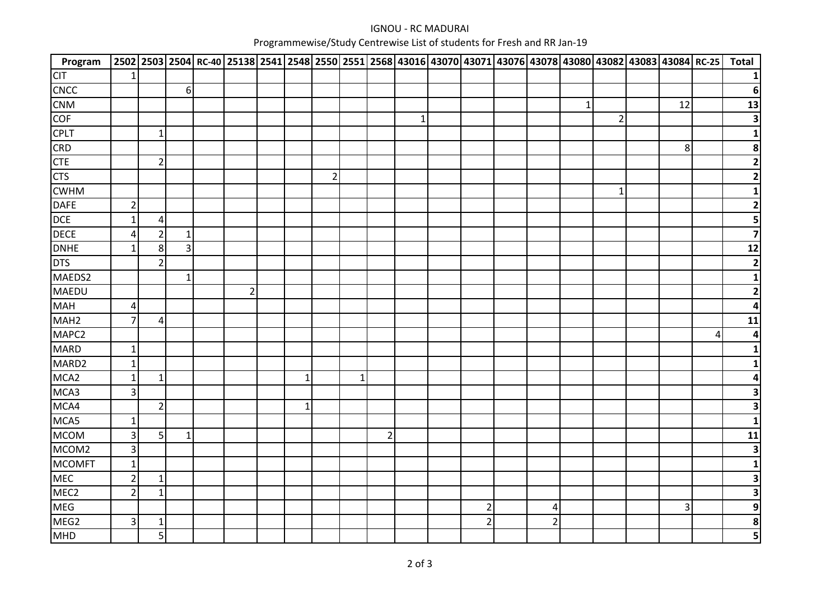## IGNOU - RC MADURAIProgrammewise/Study Centrewise List of students for Fresh and RR Jan-19

| Program          |                |                |              |                |              |                |   |                |             |                | 2502 2503 2504 RC-40 25138 2541 2548 2550 2551 2568 43016 43070 43071 43076 43078 43080 43082 43083 43084 RC-25 |             |                |         |                | <b>Total</b>             |
|------------------|----------------|----------------|--------------|----------------|--------------|----------------|---|----------------|-------------|----------------|-----------------------------------------------------------------------------------------------------------------|-------------|----------------|---------|----------------|--------------------------|
| <b>CIT</b>       | -1             |                |              |                |              |                |   |                |             |                |                                                                                                                 |             |                |         |                |                          |
| <b>CNCC</b>      |                |                | $6 \mid$     |                |              |                |   |                |             |                |                                                                                                                 |             |                |         |                | 6                        |
| <b>CNM</b>       |                |                |              |                |              |                |   |                |             |                |                                                                                                                 | $\mathbf 1$ |                | 12      |                | 13                       |
| <b>COF</b>       |                |                |              |                |              |                |   |                | $\mathbf 1$ |                |                                                                                                                 |             | $\overline{2}$ |         |                | 3                        |
| <b>CPLT</b>      |                | $\mathbf{1}$   |              |                |              |                |   |                |             |                |                                                                                                                 |             |                |         |                |                          |
| <b>CRD</b>       |                |                |              |                |              |                |   |                |             |                |                                                                                                                 |             |                | $\bf 8$ |                | 8                        |
| <b>CTE</b>       |                | $\overline{2}$ |              |                |              |                |   |                |             |                |                                                                                                                 |             |                |         |                | $\overline{2}$           |
| <b>CTS</b>       |                |                |              |                |              | $\overline{2}$ |   |                |             |                |                                                                                                                 |             |                |         |                | $\overline{2}$           |
| <b>CWHM</b>      |                |                |              |                |              |                |   |                |             |                |                                                                                                                 |             | $\mathbf{1}$   |         |                |                          |
| <b>DAFE</b>      | $\overline{2}$ |                |              |                |              |                |   |                |             |                |                                                                                                                 |             |                |         |                |                          |
| <b>DCE</b>       | 1              | 4              |              |                |              |                |   |                |             |                |                                                                                                                 |             |                |         |                |                          |
| <b>DECE</b>      | 4              | $\overline{2}$ | $\mathbf{1}$ |                |              |                |   |                |             |                |                                                                                                                 |             |                |         |                | 7                        |
| <b>DNHE</b>      | 1              | $\,8\,$        | 3            |                |              |                |   |                |             |                |                                                                                                                 |             |                |         |                | 12                       |
| <b>DTS</b>       |                | $\overline{2}$ |              |                |              |                |   |                |             |                |                                                                                                                 |             |                |         |                | $\overline{\mathbf{2}}$  |
| MAEDS2           |                |                | $\mathbf 1$  |                |              |                |   |                |             |                |                                                                                                                 |             |                |         |                |                          |
| <b>MAEDU</b>     |                |                |              | $\overline{2}$ |              |                |   |                |             |                |                                                                                                                 |             |                |         |                |                          |
| <b>MAH</b>       | $\overline{a}$ |                |              |                |              |                |   |                |             |                |                                                                                                                 |             |                |         |                |                          |
| MAH <sub>2</sub> | $\overline{7}$ | $\overline{4}$ |              |                |              |                |   |                |             |                |                                                                                                                 |             |                |         |                | 11                       |
| MAPC2            |                |                |              |                |              |                |   |                |             |                |                                                                                                                 |             |                |         | $\overline{4}$ | 4                        |
| <b>MARD</b>      | $\mathbf{1}$   |                |              |                |              |                |   |                |             |                |                                                                                                                 |             |                |         |                |                          |
| MARD2            | $\mathbf{1}$   |                |              |                |              |                |   |                |             |                |                                                                                                                 |             |                |         |                |                          |
| MCA <sub>2</sub> | 1              | $\mathbf{1}$   |              |                | 1            |                | 1 |                |             |                |                                                                                                                 |             |                |         |                |                          |
| MCA3             | 3              |                |              |                |              |                |   |                |             |                |                                                                                                                 |             |                |         |                | 3                        |
| MCA4             |                | $\overline{2}$ |              |                | $\mathbf{1}$ |                |   |                |             |                |                                                                                                                 |             |                |         |                | 3                        |
| MCA5             | $\mathbf{1}$   |                |              |                |              |                |   |                |             |                |                                                                                                                 |             |                |         |                |                          |
| <b>MCOM</b>      | 3              | 5              | $\mathbf 1$  |                |              |                |   | $\overline{2}$ |             |                |                                                                                                                 |             |                |         |                | 11                       |
| MCOM2            | 3              |                |              |                |              |                |   |                |             |                |                                                                                                                 |             |                |         |                | 3                        |
| <b>MCOMFT</b>    | $\mathbf{1}$   |                |              |                |              |                |   |                |             |                |                                                                                                                 |             |                |         |                |                          |
| <b>MEC</b>       | $\overline{2}$ | $\mathbf{1}$   |              |                |              |                |   |                |             |                |                                                                                                                 |             |                |         |                | 3                        |
| MEC <sub>2</sub> | $\overline{2}$ | $\mathbf{1}$   |              |                |              |                |   |                |             |                |                                                                                                                 |             |                |         |                | 3                        |
| <b>MEG</b>       |                |                |              |                |              |                |   |                |             | $\overline{c}$ | 4                                                                                                               |             |                | 3       |                | 9                        |
| MEG2             | 3              | $\mathbf{1}$   |              |                |              |                |   |                |             | $\overline{2}$ | $\overline{2}$                                                                                                  |             |                |         |                | 8                        |
| MHD              |                | 5              |              |                |              |                |   |                |             |                |                                                                                                                 |             |                |         |                | $\overline{\phantom{a}}$ |